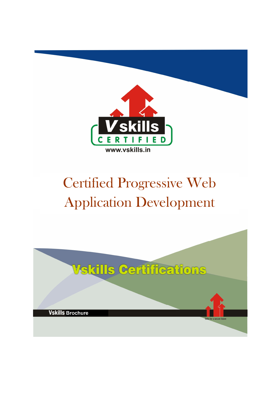

# Certified Progressive Web Application Development

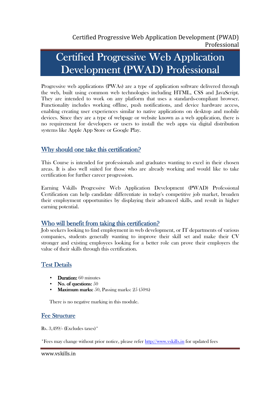# Certified Progressive Web Application Development (PWAD) Professional Development (PWAD) Professional

Progressive web applications (PWAs) are a type of application software delivered through the web, built using common web technologies including HTML, CSS and JavaScript. They are intended to work on any platform that uses a standards-compliant browser. Functionality includes working offline, push notifications, and device hardware access, enabling creating user experiences similar to native applications on desktop and mobile devices. Since they are a type of webpage or website known as a web application, there is no requirement for developers or users to install the web apps via digital distribution systems like Apple App Store or Google Play.

### Why should one take this certification?

This Course is intended for professionals and graduates wanting to excel in their chosen areas. It is also well suited for those who are already working and would like to take certification for further career progression.

Earning Vskills Progressive Web Application Development (PWAD) Professional Certification can help candidate differentiate in today's competitive job market, broaden their employment opportunities by displaying their advanced skills, and result in higher earning potential.

### Who will benefit from taking this certification?

Job seekers looking to find employment in web development, or IT departments of various companies, students generally wanting to improve their skill set and make their CV stronger and existing employees looking for a better role can prove their employers the value of their skills through this certification.

### Test Details

- $\bullet$  Duration:  $60$  minutes
- No. of questions:  $50$
- **Maximum marks:** 50, Passing marks:  $25(50\%)$

There is no negative marking in this module.

### **Fee Structure**

Rs. 3,499/- (Excludes taxes)\*

\*Fees may change without prior notice, please refer http://www.vskills.in for updated fees

www.vskills.in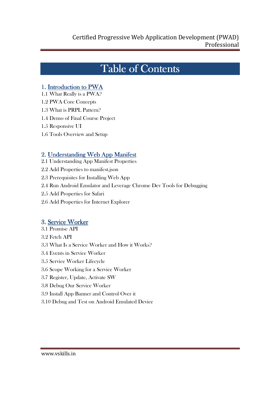## Table of Contents

### 1. Introduction to PWA

1.1 What Really is a PWA?

- 1.2 PWA Core Concepts
- 1.3 What is PRPL Pattern?
- 1.4 Demo of Final Course Project
- 1.5 Responsive UI
- 1.6 Tools Overview and Setup

### 2. Understanding Web App Manifest

- 2.1 Understanding App Manifest Properties
- 2.2 Add Properties to manifest.json
- 2.3 Prerequisites for Installing Web App
- 2.4 Run Android Emulator and Leverage Chrome Dev Tools for Debugging
- 2.5 Add Properties for Safari
- 2.6 Add Properties for Internet Explorer

### 3. Service Worker

- 3.1 Promise API
- 3.2 Fetch API
- 3.3 What Is a Service Worker and How it Works?
- 3.4 Events in Service Worker
- 3.5 Service Worker Lifecycle
- 3.6 Scope Working for a Service Worker
- 3.7 Register, Update, Activate SW
- 3.8 Debug Our Service Worker
- 3.9 Install App Banner and Control Over it
- 3.10 Debug and Test on Android Emulated Device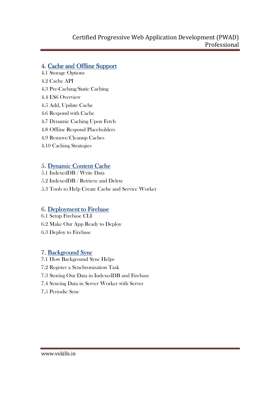### Certified Progressive Web Application Development (PWAD) Professional

### 4. Cache and Offline Support

- 4.1 Storage Options
- 4.2 Cache API
- 4.3 Pre-Caching/Static Caching
- 4.4 ES6 Overview
- 4.5 Add, Update Cache
- 4.6 Respond with Cache
- 4.7 Dynamic Caching Upon Fetch
- 4.8 Offline Respond Placeholders
- 4.9 Remove/Cleanup Caches
- 4.10 Caching Strategies

### 5. Dynamic Content Cache

- 5.1 IndexedDB / Write Data
- 5.2 IndexedDB / Retrieve and Delete
- 5.3 Tools to Help Create Cache and Service Worker

### 6. Deployment to Firebase

- 6.1 Setup Firebase CLI 6.2 Make Our App Ready to Deploy
- 6.3 Deploy to Firebase

### 7. Background Sync

- 7.1 How Background Sync Helps
- 7.2 Register a Synchronization Task
- 7.3 Storing Our Data in IndexedDB and Firebase
- 7.4 Syncing Data in Server Worker with Server
- 7.5 Periodic Sync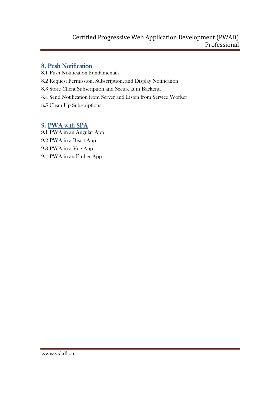### Certified Progressive Web Application Development (PWAD) Professional

### 8. Push Notification

- 8.1 Push Notification Fundamentals
- 8.2 Request Permission, Subscription, and Display Notification
- 8.3 Store Client Subscription and Secure It in Backend
- 8.4 Send Notification from Server and Listen from Service Worker
- 8.5 Clean Up Subscriptions

### 9. PWA with SPA

9.1 PWA in an Angular App 9.2 PWA in a React App 9.3 PWA in a Vue App 9.4 PWA in an Ember App